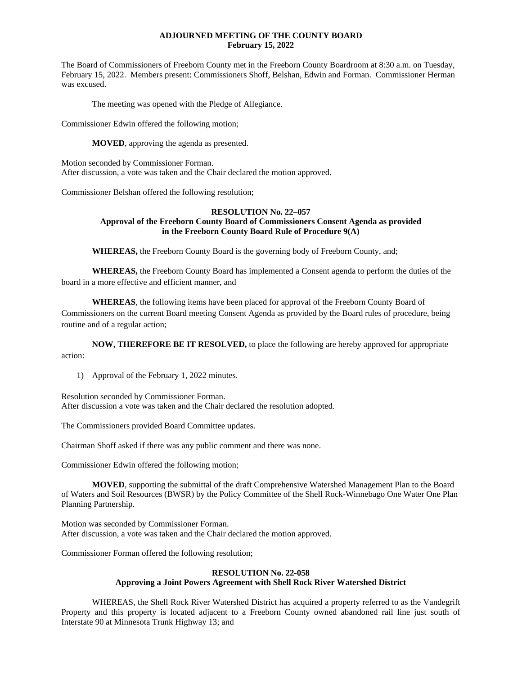### **ADJOURNED MEETING OF THE COUNTY BOARD February 15, 2022**

The Board of Commissioners of Freeborn County met in the Freeborn County Boardroom at 8:30 a.m. on Tuesday, February 15, 2022. Members present: Commissioners Shoff, Belshan, Edwin and Forman. Commissioner Herman was excused.

The meeting was opened with the Pledge of Allegiance.

Commissioner Edwin offered the following motion;

**MOVED**, approving the agenda as presented.

Motion seconded by Commissioner Forman. After discussion, a vote was taken and the Chair declared the motion approved.

Commissioner Belshan offered the following resolution;

### **RESOLUTION No. 22–057 Approval of the Freeborn County Board of Commissioners Consent Agenda as provided in the Freeborn County Board Rule of Procedure 9(A)**

**WHEREAS,** the Freeborn County Board is the governing body of Freeborn County, and;

**WHEREAS,** the Freeborn County Board has implemented a Consent agenda to perform the duties of the board in a more effective and efficient manner, and

**WHEREAS**, the following items have been placed for approval of the Freeborn County Board of Commissioners on the current Board meeting Consent Agenda as provided by the Board rules of procedure, being routine and of a regular action;

**NOW, THEREFORE BE IT RESOLVED,** to place the following are hereby approved for appropriate action:

1) Approval of the February 1, 2022 minutes.

Resolution seconded by Commissioner Forman. After discussion a vote was taken and the Chair declared the resolution adopted.

The Commissioners provided Board Committee updates.

Chairman Shoff asked if there was any public comment and there was none.

Commissioner Edwin offered the following motion;

**MOVED**, supporting the submittal of the draft Comprehensive Watershed Management Plan to the Board of Waters and Soil Resources (BWSR) by the Policy Committee of the Shell Rock-Winnebago One Water One Plan Planning Partnership.

Motion was seconded by Commissioner Forman. After discussion, a vote was taken and the Chair declared the motion approved.

Commissioner Forman offered the following resolution;

### **RESOLUTION No. 22-058 Approving a Joint Powers Agreement with Shell Rock River Watershed District**

WHEREAS, the Shell Rock River Watershed District has acquired a property referred to as the Vandegrift Property and this property is located adjacent to a Freeborn County owned abandoned rail line just south of Interstate 90 at Minnesota Trunk Highway 13; and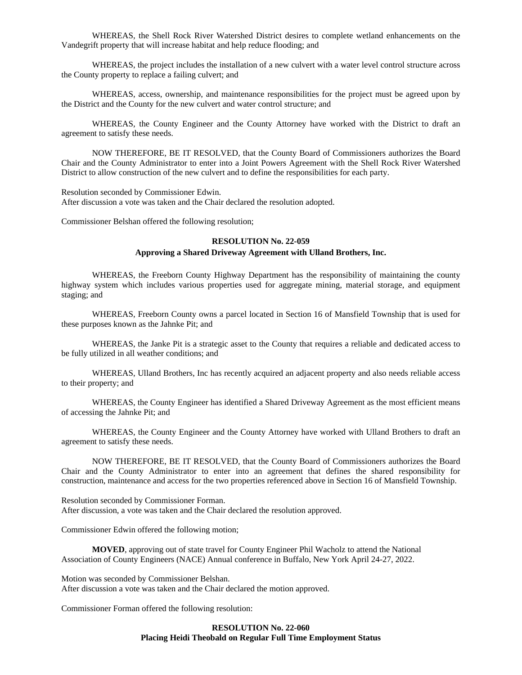WHEREAS, the Shell Rock River Watershed District desires to complete wetland enhancements on the Vandegrift property that will increase habitat and help reduce flooding; and

WHEREAS, the project includes the installation of a new culvert with a water level control structure across the County property to replace a failing culvert; and

WHEREAS, access, ownership, and maintenance responsibilities for the project must be agreed upon by the District and the County for the new culvert and water control structure; and

WHEREAS, the County Engineer and the County Attorney have worked with the District to draft an agreement to satisfy these needs.

NOW THEREFORE, BE IT RESOLVED, that the County Board of Commissioners authorizes the Board Chair and the County Administrator to enter into a Joint Powers Agreement with the Shell Rock River Watershed District to allow construction of the new culvert and to define the responsibilities for each party.

Resolution seconded by Commissioner Edwin. After discussion a vote was taken and the Chair declared the resolution adopted.

Commissioner Belshan offered the following resolution;

## **RESOLUTION No. 22-059**

## **Approving a Shared Driveway Agreement with Ulland Brothers, Inc.**

WHEREAS, the Freeborn County Highway Department has the responsibility of maintaining the county highway system which includes various properties used for aggregate mining, material storage, and equipment staging; and

WHEREAS, Freeborn County owns a parcel located in Section 16 of Mansfield Township that is used for these purposes known as the Jahnke Pit; and

WHEREAS, the Janke Pit is a strategic asset to the County that requires a reliable and dedicated access to be fully utilized in all weather conditions; and

WHEREAS, Ulland Brothers, Inc has recently acquired an adjacent property and also needs reliable access to their property; and

WHEREAS, the County Engineer has identified a Shared Driveway Agreement as the most efficient means of accessing the Jahnke Pit; and

WHEREAS, the County Engineer and the County Attorney have worked with Ulland Brothers to draft an agreement to satisfy these needs.

NOW THEREFORE, BE IT RESOLVED, that the County Board of Commissioners authorizes the Board Chair and the County Administrator to enter into an agreement that defines the shared responsibility for construction, maintenance and access for the two properties referenced above in Section 16 of Mansfield Township.

Resolution seconded by Commissioner Forman. After discussion, a vote was taken and the Chair declared the resolution approved.

Commissioner Edwin offered the following motion;

**MOVED**, approving out of state travel for County Engineer Phil Wacholz to attend the National Association of County Engineers (NACE) Annual conference in Buffalo, New York April 24-27, 2022.

Motion was seconded by Commissioner Belshan. After discussion a vote was taken and the Chair declared the motion approved.

Commissioner Forman offered the following resolution:

### **RESOLUTION No. 22-060 Placing Heidi Theobald on Regular Full Time Employment Status**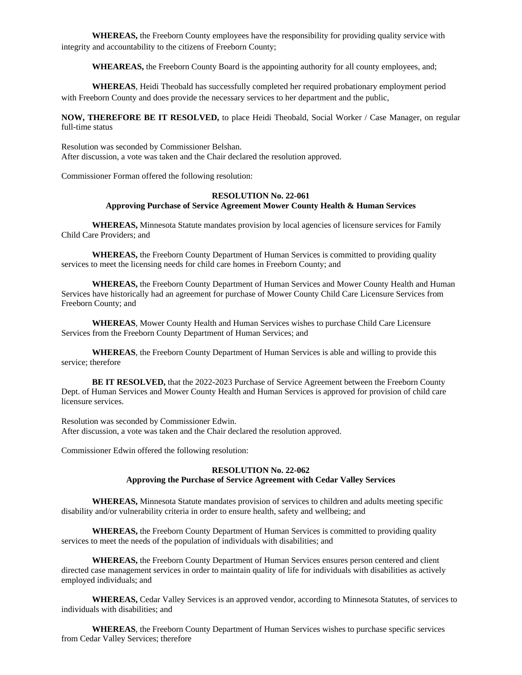**WHEREAS,** the Freeborn County employees have the responsibility for providing quality service with integrity and accountability to the citizens of Freeborn County;

**WHEAREAS,** the Freeborn County Board is the appointing authority for all county employees, and;

**WHEREAS**, Heidi Theobald has successfully completed her required probationary employment period with Freeborn County and does provide the necessary services to her department and the public,

**NOW, THEREFORE BE IT RESOLVED,** to place Heidi Theobald, Social Worker / Case Manager, on regular full-time status

Resolution was seconded by Commissioner Belshan. After discussion, a vote was taken and the Chair declared the resolution approved.

Commissioner Forman offered the following resolution:

# **RESOLUTION No. 22-061 Approving Purchase of Service Agreement Mower County Health & Human Services**

**WHEREAS,** Minnesota Statute mandates provision by local agencies of licensure services for Family Child Care Providers; and

**WHEREAS,** the Freeborn County Department of Human Services is committed to providing quality services to meet the licensing needs for child care homes in Freeborn County; and

**WHEREAS,** the Freeborn County Department of Human Services and Mower County Health and Human Services have historically had an agreement for purchase of Mower County Child Care Licensure Services from Freeborn County; and

**WHEREAS**, Mower County Health and Human Services wishes to purchase Child Care Licensure Services from the Freeborn County Department of Human Services; and

**WHEREAS**, the Freeborn County Department of Human Services is able and willing to provide this service; therefore

**BE IT RESOLVED,** that the 2022-2023 Purchase of Service Agreement between the Freeborn County Dept. of Human Services and Mower County Health and Human Services is approved for provision of child care licensure services.

Resolution was seconded by Commissioner Edwin. After discussion, a vote was taken and the Chair declared the resolution approved.

Commissioner Edwin offered the following resolution:

# **RESOLUTION No. 22-062 Approving the Purchase of Service Agreement with Cedar Valley Services**

**WHEREAS,** Minnesota Statute mandates provision of services to children and adults meeting specific disability and/or vulnerability criteria in order to ensure health, safety and wellbeing; and

**WHEREAS,** the Freeborn County Department of Human Services is committed to providing quality services to meet the needs of the population of individuals with disabilities; and

**WHEREAS,** the Freeborn County Department of Human Services ensures person centered and client directed case management services in order to maintain quality of life for individuals with disabilities as actively employed individuals; and

**WHEREAS,** Cedar Valley Services is an approved vendor, according to Minnesota Statutes, of services to individuals with disabilities; and

**WHEREAS**, the Freeborn County Department of Human Services wishes to purchase specific services from Cedar Valley Services; therefore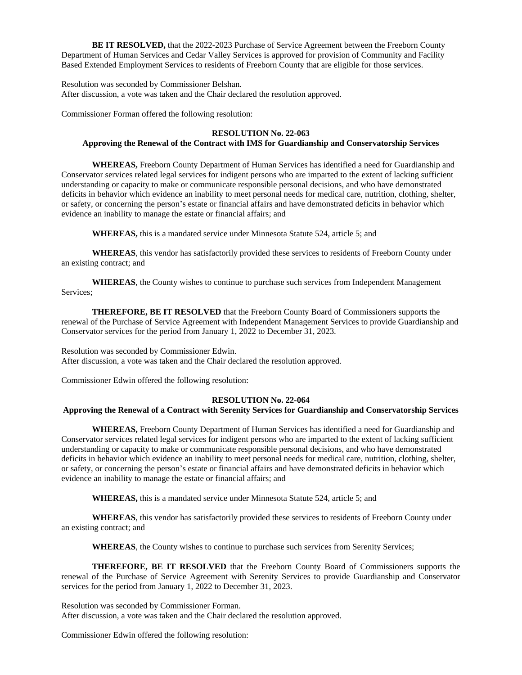**BE IT RESOLVED,** that the 2022-2023 Purchase of Service Agreement between the Freeborn County Department of Human Services and Cedar Valley Services is approved for provision of Community and Facility Based Extended Employment Services to residents of Freeborn County that are eligible for those services.

Resolution was seconded by Commissioner Belshan. After discussion, a vote was taken and the Chair declared the resolution approved.

Commissioner Forman offered the following resolution:

## **RESOLUTION No. 22-063**

#### **Approving the Renewal of the Contract with IMS for Guardianship and Conservatorship Services**

**WHEREAS,** Freeborn County Department of Human Services has identified a need for Guardianship and Conservator services related legal services for indigent persons who are imparted to the extent of lacking sufficient understanding or capacity to make or communicate responsible personal decisions, and who have demonstrated deficits in behavior which evidence an inability to meet personal needs for medical care, nutrition, clothing, shelter, or safety, or concerning the person's estate or financial affairs and have demonstrated deficits in behavior which evidence an inability to manage the estate or financial affairs; and

**WHEREAS,** this is a mandated service under Minnesota Statute 524, article 5; and

**WHEREAS**, this vendor has satisfactorily provided these services to residents of Freeborn County under an existing contract; and

**WHEREAS**, the County wishes to continue to purchase such services from Independent Management Services;

**THEREFORE, BE IT RESOLVED** that the Freeborn County Board of Commissioners supports the renewal of the Purchase of Service Agreement with Independent Management Services to provide Guardianship and Conservator services for the period from January 1, 2022 to December 31, 2023.

Resolution was seconded by Commissioner Edwin. After discussion, a vote was taken and the Chair declared the resolution approved.

Commissioner Edwin offered the following resolution:

#### **RESOLUTION No. 22-064**

#### **Approving the Renewal of a Contract with Serenity Services for Guardianship and Conservatorship Services**

**WHEREAS,** Freeborn County Department of Human Services has identified a need for Guardianship and Conservator services related legal services for indigent persons who are imparted to the extent of lacking sufficient understanding or capacity to make or communicate responsible personal decisions, and who have demonstrated deficits in behavior which evidence an inability to meet personal needs for medical care, nutrition, clothing, shelter, or safety, or concerning the person's estate or financial affairs and have demonstrated deficits in behavior which evidence an inability to manage the estate or financial affairs; and

**WHEREAS,** this is a mandated service under Minnesota Statute 524, article 5; and

**WHEREAS**, this vendor has satisfactorily provided these services to residents of Freeborn County under an existing contract; and

**WHEREAS**, the County wishes to continue to purchase such services from Serenity Services;

**THEREFORE, BE IT RESOLVED** that the Freeborn County Board of Commissioners supports the renewal of the Purchase of Service Agreement with Serenity Services to provide Guardianship and Conservator services for the period from January 1, 2022 to December 31, 2023.

Resolution was seconded by Commissioner Forman. After discussion, a vote was taken and the Chair declared the resolution approved.

Commissioner Edwin offered the following resolution: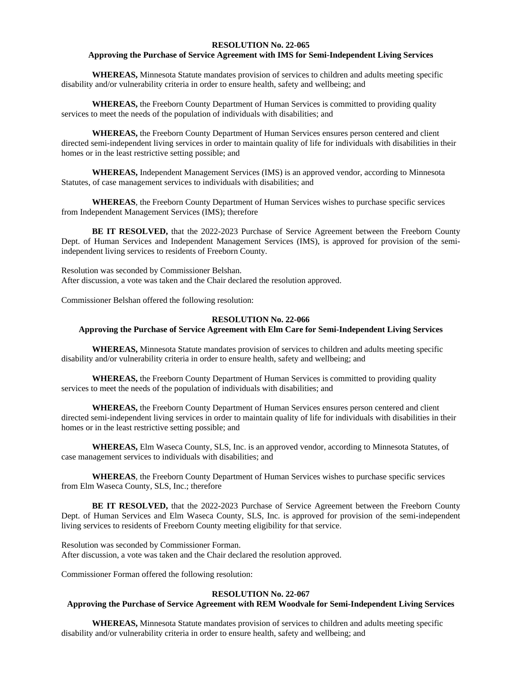### **RESOLUTION No. 22-065**

## **Approving the Purchase of Service Agreement with IMS for Semi-Independent Living Services**

**WHEREAS,** Minnesota Statute mandates provision of services to children and adults meeting specific disability and/or vulnerability criteria in order to ensure health, safety and wellbeing; and

**WHEREAS,** the Freeborn County Department of Human Services is committed to providing quality services to meet the needs of the population of individuals with disabilities; and

**WHEREAS,** the Freeborn County Department of Human Services ensures person centered and client directed semi-independent living services in order to maintain quality of life for individuals with disabilities in their homes or in the least restrictive setting possible; and

**WHEREAS,** Independent Management Services (IMS) is an approved vendor, according to Minnesota Statutes, of case management services to individuals with disabilities; and

**WHEREAS**, the Freeborn County Department of Human Services wishes to purchase specific services from Independent Management Services (IMS); therefore

**BE IT RESOLVED,** that the 2022-2023 Purchase of Service Agreement between the Freeborn County Dept. of Human Services and Independent Management Services (IMS), is approved for provision of the semiindependent living services to residents of Freeborn County.

Resolution was seconded by Commissioner Belshan. After discussion, a vote was taken and the Chair declared the resolution approved.

Commissioner Belshan offered the following resolution:

#### **RESOLUTION No. 22-066**

# **Approving the Purchase of Service Agreement with Elm Care for Semi-Independent Living Services**

**WHEREAS,** Minnesota Statute mandates provision of services to children and adults meeting specific disability and/or vulnerability criteria in order to ensure health, safety and wellbeing; and

**WHEREAS,** the Freeborn County Department of Human Services is committed to providing quality services to meet the needs of the population of individuals with disabilities; and

**WHEREAS,** the Freeborn County Department of Human Services ensures person centered and client directed semi-independent living services in order to maintain quality of life for individuals with disabilities in their homes or in the least restrictive setting possible; and

**WHEREAS,** Elm Waseca County, SLS, Inc. is an approved vendor, according to Minnesota Statutes, of case management services to individuals with disabilities; and

**WHEREAS**, the Freeborn County Department of Human Services wishes to purchase specific services from Elm Waseca County, SLS, Inc.; therefore

**BE IT RESOLVED,** that the 2022-2023 Purchase of Service Agreement between the Freeborn County Dept. of Human Services and Elm Waseca County, SLS, Inc. is approved for provision of the semi-independent living services to residents of Freeborn County meeting eligibility for that service.

Resolution was seconded by Commissioner Forman. After discussion, a vote was taken and the Chair declared the resolution approved.

Commissioner Forman offered the following resolution:

#### **RESOLUTION No. 22-067**

# **Approving the Purchase of Service Agreement with REM Woodvale for Semi-Independent Living Services**

**WHEREAS,** Minnesota Statute mandates provision of services to children and adults meeting specific disability and/or vulnerability criteria in order to ensure health, safety and wellbeing; and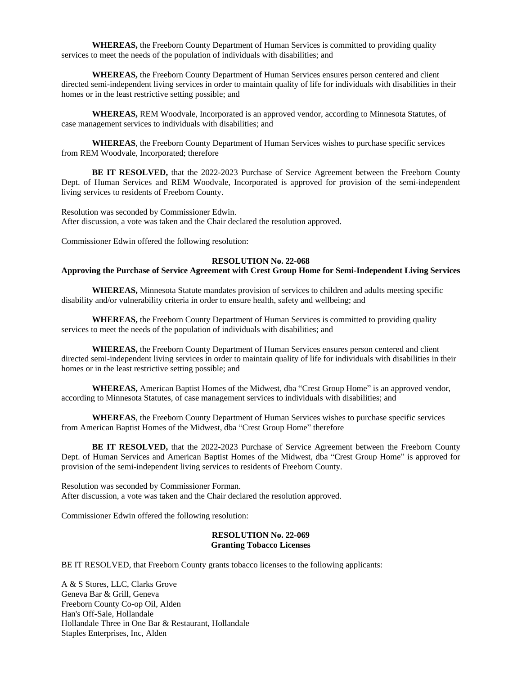**WHEREAS,** the Freeborn County Department of Human Services is committed to providing quality services to meet the needs of the population of individuals with disabilities; and

**WHEREAS,** the Freeborn County Department of Human Services ensures person centered and client directed semi-independent living services in order to maintain quality of life for individuals with disabilities in their homes or in the least restrictive setting possible; and

**WHEREAS,** REM Woodvale, Incorporated is an approved vendor, according to Minnesota Statutes, of case management services to individuals with disabilities; and

**WHEREAS**, the Freeborn County Department of Human Services wishes to purchase specific services from REM Woodvale, Incorporated; therefore

**BE IT RESOLVED,** that the 2022-2023 Purchase of Service Agreement between the Freeborn County Dept. of Human Services and REM Woodvale, Incorporated is approved for provision of the semi-independent living services to residents of Freeborn County.

Resolution was seconded by Commissioner Edwin. After discussion, a vote was taken and the Chair declared the resolution approved.

Commissioner Edwin offered the following resolution:

#### **RESOLUTION No. 22-068**

# **Approving the Purchase of Service Agreement with Crest Group Home for Semi-Independent Living Services**

**WHEREAS,** Minnesota Statute mandates provision of services to children and adults meeting specific disability and/or vulnerability criteria in order to ensure health, safety and wellbeing; and

**WHEREAS,** the Freeborn County Department of Human Services is committed to providing quality services to meet the needs of the population of individuals with disabilities; and

**WHEREAS,** the Freeborn County Department of Human Services ensures person centered and client directed semi-independent living services in order to maintain quality of life for individuals with disabilities in their homes or in the least restrictive setting possible; and

**WHEREAS,** American Baptist Homes of the Midwest, dba "Crest Group Home" is an approved vendor, according to Minnesota Statutes, of case management services to individuals with disabilities; and

**WHEREAS**, the Freeborn County Department of Human Services wishes to purchase specific services from American Baptist Homes of the Midwest, dba "Crest Group Home" therefore

**BE IT RESOLVED,** that the 2022-2023 Purchase of Service Agreement between the Freeborn County Dept. of Human Services and American Baptist Homes of the Midwest, dba "Crest Group Home" is approved for provision of the semi-independent living services to residents of Freeborn County.

Resolution was seconded by Commissioner Forman. After discussion, a vote was taken and the Chair declared the resolution approved.

Commissioner Edwin offered the following resolution:

#### **RESOLUTION No. 22-069 Granting Tobacco Licenses**

BE IT RESOLVED, that Freeborn County grants tobacco licenses to the following applicants:

A & S Stores, LLC, Clarks Grove Geneva Bar & Grill, Geneva Freeborn County Co-op Oil, Alden Han's Off-Sale, Hollandale Hollandale Three in One Bar & Restaurant, Hollandale Staples Enterprises, Inc, Alden